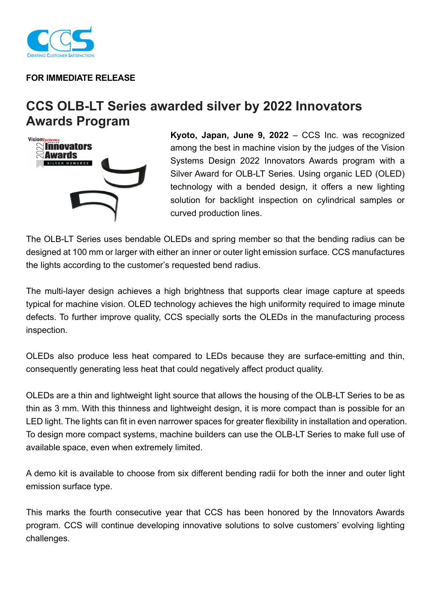

## **FOR IMMEDIATE RELEASE**

## **CCS OLB-LT Series awarded silver by 2022 Innovators Awards Program**



**Kyoto, Japan, June 9, 2022** – CCS Inc. was recognized among the best in machine vision by the judges of the Vision Systems Design 2022 Innovators Awards program with a Silver Award for OLB-LT Series. Using organic LED (OLED) technology with a bended design, it offers a new lighting solution for backlight inspection on cylindrical samples or curved production lines.

The OLB-LT Series uses bendable OLEDs and spring member so that the bending radius can be designed at 100 mm or larger with either an inner or outer light emission surface. CCS manufactures the lights according to the customer's requested bend radius.

The multi-layer design achieves a high brightness that supports clear image capture at speeds typical for machine vision. OLED technology achieves the high uniformity required to image minute defects. To further improve quality, CCS specially sorts the OLEDs in the manufacturing process inspection.

OLEDs also produce less heat compared to LEDs because they are surface-emitting and thin, consequently generating less heat that could negatively affect product quality.

OLEDs are a thin and lightweight light source that allows the housing of the OLB-LT Series to be as thin as 3 mm. With this thinness and lightweight design, it is more compact than is possible for an LED light. The lights can fit in even narrower spaces for greater flexibility in installation and operation. To design more compact systems, machine builders can use the OLB-LT Series to make full use of available space, even when extremely limited.

A demo kit is available to choose from six different bending radii for both the inner and outer light emission surface type.

This marks the fourth consecutive year that CCS has been honored by the Innovators Awards program. CCS will continue developing innovative solutions to solve customers' evolving lighting challenges.